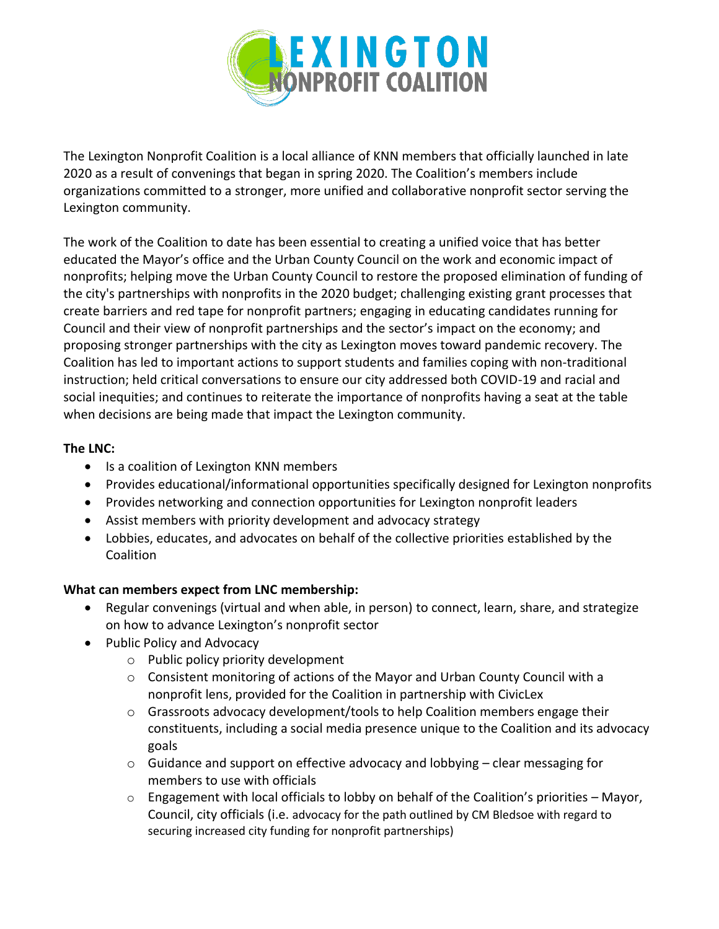

The Lexington Nonprofit Coalition is a local alliance of KNN members that officially launched in late 2020 as a result of convenings that began in spring 2020. The Coalition's members include organizations committed to a stronger, more unified and collaborative nonprofit sector serving the Lexington community.

The work of the Coalition to date has been essential to creating a unified voice that has better educated the Mayor's office and the Urban County Council on the work and economic impact of nonprofits; helping move the Urban County Council to restore the proposed elimination of funding of the city's partnerships with nonprofits in the 2020 budget; challenging existing grant processes that create barriers and red tape for nonprofit partners; engaging in educating candidates running for Council and their view of nonprofit partnerships and the sector's impact on the economy; and proposing stronger partnerships with the city as Lexington moves toward pandemic recovery. The Coalition has led to important actions to support students and families coping with non-traditional instruction; held critical conversations to ensure our city addressed both COVID-19 and racial and social inequities; and continues to reiterate the importance of nonprofits having a seat at the table when decisions are being made that impact the Lexington community.

## **The LNC:**

- Is a coalition of Lexington KNN members
- Provides educational/informational opportunities specifically designed for Lexington nonprofits
- Provides networking and connection opportunities for Lexington nonprofit leaders
- Assist members with priority development and advocacy strategy
- Lobbies, educates, and advocates on behalf of the collective priorities established by the Coalition

## **What can members expect from LNC membership:**

- Regular convenings (virtual and when able, in person) to connect, learn, share, and strategize on how to advance Lexington's nonprofit sector
- Public Policy and Advocacy
	- o Public policy priority development
	- o Consistent monitoring of actions of the Mayor and Urban County Council with a nonprofit lens, provided for the Coalition in partnership with CivicLex
	- $\circ$  Grassroots advocacy development/tools to help Coalition members engage their constituents, including a social media presence unique to the Coalition and its advocacy goals
	- o Guidance and support on effective advocacy and lobbying clear messaging for members to use with officials
	- $\circ$  Engagement with local officials to lobby on behalf of the Coalition's priorities Mayor, Council, city officials (i.e. advocacy for the path outlined by CM Bledsoe with regard to securing increased city funding for nonprofit partnerships)